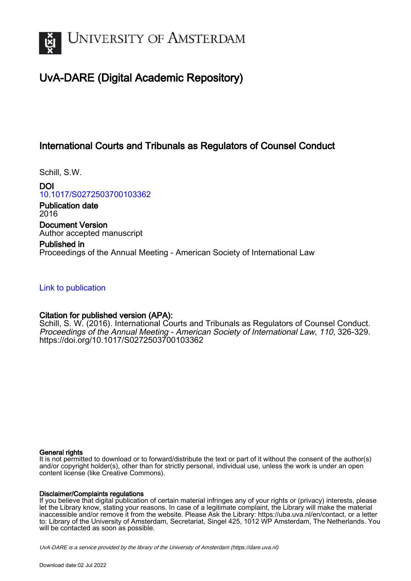

# UvA-DARE (Digital Academic Repository)

## International Courts and Tribunals as Regulators of Counsel Conduct

Schill, S.W.

DOI [10.1017/S0272503700103362](https://doi.org/10.1017/S0272503700103362)

Publication date 2016 Document Version Author accepted manuscript

Published in Proceedings of the Annual Meeting - American Society of International Law

[Link to publication](https://dare.uva.nl/personal/pure/en/publications/international-courts-and-tribunals-as-regulators-of-counsel-conduct(6b2cc39e-53d6-461a-8ecd-a507ed4a270a).html)

## Citation for published version (APA):

Schill, S. W. (2016). International Courts and Tribunals as Regulators of Counsel Conduct. Proceedings of the Annual Meeting - American Society of International Law, 110, 326-329. <https://doi.org/10.1017/S0272503700103362>

#### General rights

It is not permitted to download or to forward/distribute the text or part of it without the consent of the author(s) and/or copyright holder(s), other than for strictly personal, individual use, unless the work is under an open content license (like Creative Commons).

#### Disclaimer/Complaints regulations

If you believe that digital publication of certain material infringes any of your rights or (privacy) interests, please let the Library know, stating your reasons. In case of a legitimate complaint, the Library will make the material inaccessible and/or remove it from the website. Please Ask the Library: https://uba.uva.nl/en/contact, or a letter to: Library of the University of Amsterdam, Secretariat, Singel 425, 1012 WP Amsterdam, The Netherlands. You will be contacted as soon as possible.

UvA-DARE is a service provided by the library of the University of Amsterdam (http*s*://dare.uva.nl)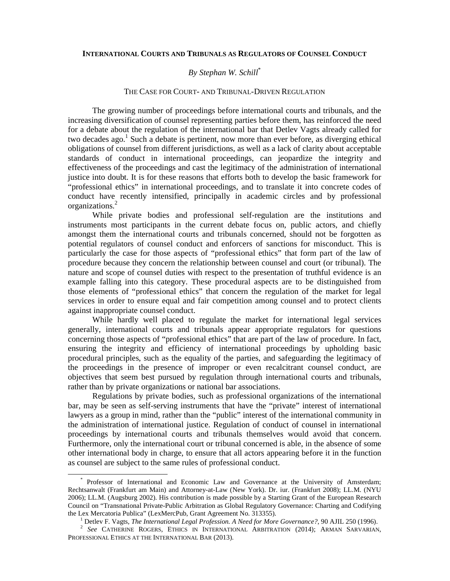#### **INTERNATIONAL COURTS AND TRIBUNALS AS REGULATORS OF COUNSEL CONDUCT**

### *By Stephan W. Schill*\*

#### THE CASE FOR COURT- AND TRIBUNAL-DRIVEN REGULATION

The growing number of proceedings before international courts and tribunals, and the increasing diversification of counsel representing parties before them, has reinforced the need for a debate about the regulation of the international bar that Detlev Vagts already called for two decades ago.<sup>1</sup> Such a debate is pertinent, now more than ever before, as diverging ethical obligations of counsel from different jurisdictions, as well as a lack of clarity about acceptable standards of conduct in international proceedings, can jeopardize the integrity and effectiveness of the proceedings and cast the legitimacy of the administration of international justice into doubt. It is for these reasons that efforts both to develop the basic framework for "professional ethics" in international proceedings, and to translate it into concrete codes of conduct have recently intensified, principally in academic circles and by professional organizations.<sup>2</sup>

While private bodies and professional self-regulation are the institutions and instruments most participants in the current debate focus on, public actors, and chiefly amongst them the international courts and tribunals concerned, should not be forgotten as potential regulators of counsel conduct and enforcers of sanctions for misconduct. This is particularly the case for those aspects of "professional ethics" that form part of the law of procedure because they concern the relationship between counsel and court (or tribunal). The nature and scope of counsel duties with respect to the presentation of truthful evidence is an example falling into this category. These procedural aspects are to be distinguished from those elements of "professional ethics" that concern the regulation of the market for legal services in order to ensure equal and fair competition among counsel and to protect clients against inappropriate counsel conduct.

While hardly well placed to regulate the market for international legal services generally, international courts and tribunals appear appropriate regulators for questions concerning those aspects of "professional ethics" that are part of the law of procedure. In fact, ensuring the integrity and efficiency of international proceedings by upholding basic procedural principles, such as the equality of the parties, and safeguarding the legitimacy of the proceedings in the presence of improper or even recalcitrant counsel conduct, are objectives that seem best pursued by regulation through international courts and tribunals, rather than by private organizations or national bar associations.

Regulations by private bodies, such as professional organizations of the international bar, may be seen as self-serving instruments that have the "private" interest of international lawyers as a group in mind, rather than the "public" interest of the international community in the administration of international justice. Regulation of conduct of counsel in international proceedings by international courts and tribunals themselves would avoid that concern. Furthermore, only the international court or tribunal concerned is able, in the absence of some other international body in charge, to ensure that all actors appearing before it in the function as counsel are subject to the same rules of professional conduct.

l,

<sup>\*</sup> Professor of International and Economic Law and Governance at the University of Amsterdam; Rechtsanwalt (Frankfurt am Main) and Attorney-at-Law (New York). Dr. iur. (Frankfurt 2008); LL.M. (NYU 2006); LL.M. (Augsburg 2002). His contribution is made possible by a Starting Grant of the European Research Council on "Transnational Private-Public Arbitration as Global Regulatory Governance: Charting and Codifying the Lex Mercatoria Publica" (LexMercPub, Grant Agreement No. 313355).

<sup>1</sup> Detlev F. Vagts, *The International Legal Profession. A Need for More Governance?*, 90 AJIL 250 (1996).

<sup>2</sup> *See* CATHERINE ROGERS, ETHICS IN INTERNATIONAL ARBITRATION (2014); ARMAN SARVARIAN, PROFESSIONAL ETHICS AT THE INTERNATIONAL BAR (2013).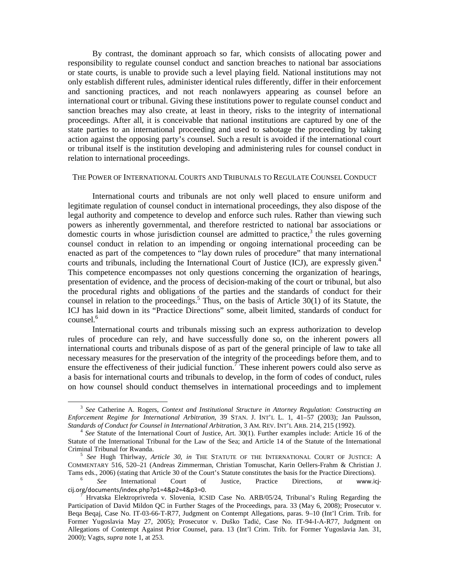By contrast, the dominant approach so far, which consists of allocating power and responsibility to regulate counsel conduct and sanction breaches to national bar associations or state courts, is unable to provide such a level playing field. National institutions may not only establish different rules, administer identical rules differently, differ in their enforcement and sanctioning practices, and not reach nonlawyers appearing as counsel before an international court or tribunal. Giving these institutions power to regulate counsel conduct and sanction breaches may also create, at least in theory, risks to the integrity of international proceedings. After all, it is conceivable that national institutions are captured by one of the state parties to an international proceeding and used to sabotage the proceeding by taking action against the opposing party's counsel. Such a result is avoided if the international court or tribunal itself is the institution developing and administering rules for counsel conduct in relation to international proceedings.

#### THE POWER OF INTERNATIONAL COURTS AND TRIBUNALS TO REGULATE COUNSEL CONDUCT

International courts and tribunals are not only well placed to ensure uniform and legitimate regulation of counsel conduct in international proceedings, they also dispose of the legal authority and competence to develop and enforce such rules. Rather than viewing such powers as inherently governmental, and therefore restricted to national bar associations or domestic courts in whose jurisdiction counsel are admitted to practice, $3$  the rules governing counsel conduct in relation to an impending or ongoing international proceeding can be enacted as part of the competences to "lay down rules of procedure" that many international courts and tribunals, including the International Court of Justice (ICJ), are expressly given.<sup>4</sup> This competence encompasses not only questions concerning the organization of hearings, presentation of evidence, and the process of decision-making of the court or tribunal, but also the procedural rights and obligations of the parties and the standards of conduct for their counsel in relation to the proceedings.<sup>5</sup> Thus, on the basis of Article  $30(1)$  of its Statute, the ICJ has laid down in its "Practice Directions" some, albeit limited, standards of conduct for counsel.<sup>6</sup>

International courts and tribunals missing such an express authorization to develop rules of procedure can rely, and have successfully done so, on the inherent powers all international courts and tribunals dispose of as part of the general principle of law to take all necessary measures for the preservation of the integrity of the proceedings before them, and to ensure the effectiveness of their judicial function.<sup>7</sup> These inherent powers could also serve as a basis for international courts and tribunals to develop, in the form of codes of conduct, rules on how counsel should conduct themselves in international proceedings and to implement

l,

<sup>3</sup> *See* Catherine A. Rogers, *Context and Institutional Structure in Attorney Regulation: Constructing an Enforcement Regime for International Arbitration*, 39 STAN. J. INT'L L. 1, 41–57 (2003); Jan Paulsson, *Standards of Conduct for Counsel in International Arbitration*, 3 AM. REV. INT'L ARB. 214, 215 (1992).

<sup>&</sup>lt;sup>4</sup> See Statute of the International Court of Justice, Art. 30(1). Further examples include: Article 16 of the Statute of the International Tribunal for the Law of the Sea; and Article 14 of the Statute of the International Criminal Tribunal for Rwanda.

<sup>5</sup> *See* Hugh Thirlway, *Article 30*, *in* THE STATUTE OF THE INTERNATIONAL COURT OF JUSTICE: A COMMENTARY 516, 520–21 (Andreas Zimmerman, Christian Tomuschat, Karin Oellers-Frahm & Christian J. Tams eds., 2006) (stating that Article 30 of the Court's Statute constitutes the basis for the Practice Directions).

<sup>6</sup> *See* International Court of Justice, Practice Directions, *at* www.icjcij.org/documents/index.php?p1=4&p2=4&p3=0.

<sup>7</sup> Hrvatska Elektroprivreda v. Slovenia, ICSID Case No. ARB/05/24, Tribunal's Ruling Regarding the Participation of David Mildon QC in Further Stages of the Proceedings, para. 33 (May 6, 2008); Prosecutor v. Beqa Beqaj, Case No. IT-03-66-T-R77, Judgment on Contempt Allegations, paras. 9–10 (Int'l Crim. Trib. for Former Yugoslavia May 27, 2005); Prosecutor v. Duško Tadić, Case No. IT-94-I-A-R77, Judgment on Allegations of Contempt Against Prior Counsel, para. 13 (Int'l Crim. Trib. for Former Yugoslavia Jan. 31, 2000); Vagts, *supra* note 1, at 253.